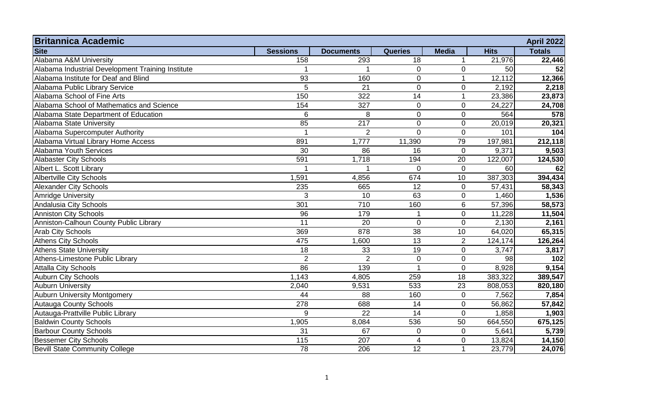| <b>Britannica Academic</b>                        |                 |                  |                 |                  |             | <b>April 2022</b> |
|---------------------------------------------------|-----------------|------------------|-----------------|------------------|-------------|-------------------|
| <b>Site</b>                                       | <b>Sessions</b> | <b>Documents</b> | <b>Queries</b>  | <b>Media</b>     | <b>Hits</b> | <b>Totals</b>     |
| Alabama A&M University                            | 158             | 293              | 18              |                  | 21,976      | 22,446            |
| Alabama Industrial Development Training Institute |                 |                  | $\overline{0}$  | $\mathbf 0$      | 50          | 52                |
| Alabama Institute for Deaf and Blind              | 93              | 160              | $\overline{0}$  | $\mathbf 1$      | 12,112      | 12,366            |
| Alabama Public Library Service                    | $\overline{5}$  | $\overline{21}$  | $\overline{0}$  | $\mathbf 0$      | 2,192       | 2,218             |
| Alabama School of Fine Arts                       | 150             | 322              | 14              | $\mathbf{1}$     | 23,386      | 23,873            |
| Alabama School of Mathematics and Science         | 154             | 327              | $\overline{0}$  | $\boldsymbol{0}$ | 24,227      | 24,708            |
| Alabama State Department of Education             | 6               | 8                | $\overline{0}$  | $\overline{0}$   | 564         | 578               |
| Alabama State University                          | 85              | $\overline{217}$ | $\mathbf 0$     | $\pmb{0}$        | 20,019      | 20,321            |
| Alabama Supercomputer Authority                   | $\overline{1}$  | $\overline{2}$   | $\mathbf 0$     | $\overline{0}$   | 101         | 104               |
| Alabama Virtual Library Home Access               | 891             | 1,777            | 11,390          | 79               | 197,981     | 212,118           |
| Alabama Youth Services                            | 30              | 86               | 16              | $\mathbf{0}$     | 9,371       | 9,503             |
| <b>Alabaster City Schools</b>                     | 591             | 1,718            | 194             | 20               | 122,007     | 124,530           |
| Albert L. Scott Library                           |                 |                  | $\Omega$        | $\overline{0}$   | 60          | 62                |
| <b>Albertville City Schools</b>                   | 1,591           | 4,856            | 674             | 10               | 387,303     | 394,434           |
| <b>Alexander City Schools</b>                     | 235             | 665              | 12              | $\mathbf 0$      | 57,431      | 58,343            |
| <b>Amridge University</b>                         | 3               | 10               | 63              | $\mathbf 0$      | 1,460       | 1,536             |
| Andalusia City Schools                            | 301             | 710              | 160             | $\,6\,$          | 57,396      | 58,573            |
| <b>Anniston City Schools</b>                      | 96              | 179              |                 | $\mathbf 0$      | 11,228      | 11,504            |
| Anniston-Calhoun County Public Library            | $\overline{11}$ | 20               | $\mathbf 0$     | $\mathbf 0$      | 2,130       | 2,161             |
| <b>Arab City Schools</b>                          | 369             | 878              | $\overline{38}$ | 10               | 64,020      | 65,315            |
| <b>Athens City Schools</b>                        | 475             | 1,600            | 13              | $\overline{2}$   | 124,174     | 126,264           |
| <b>Athens State University</b>                    | 18              | 33               | 19              | $\mathbf 0$      | 3,747       | 3,817             |
| Athens-Limestone Public Library                   | $\overline{2}$  | $\overline{2}$   | $\mathbf 0$     | $\mathbf 0$      | 98          | 102               |
| <b>Attalla City Schools</b>                       | 86              | 139              |                 | $\overline{0}$   | 8,928       | 9,154             |
| <b>Auburn City Schools</b>                        | 1,143           | 4,805            | 259             | $\overline{18}$  | 383,322     | 389,547           |
| <b>Auburn University</b>                          | 2,040           | 9,531            | 533             | $\overline{23}$  | 808,053     | 820,180           |
| <b>Auburn University Montgomery</b>               | 44              | 88               | 160             | $\mathbf 0$      | 7,562       | 7,854             |
| Autauga County Schools                            | 278             | 688              | 14              | $\pmb{0}$        | 56,862      | 57,842            |
| Autauga-Prattville Public Library                 | 9               | 22               | 14              | $\mathbf 0$      | 1,858       | 1,903             |
| <b>Baldwin County Schools</b>                     | 1,905           | 8,084            | 536             | 50               | 664,550     | 675,125           |
| <b>Barbour County Schools</b>                     | 31              | 67               | $\overline{0}$  | $\mathbf 0$      | 5,641       | 5,739             |
| <b>Bessemer City Schools</b>                      | 115             | 207              | 4               | $\mathbf 0$      | 13,824      | 14,150            |
| <b>Bevill State Community College</b>             | 78              | 206              | 12              | $\overline{1}$   | 23,779      | 24,076            |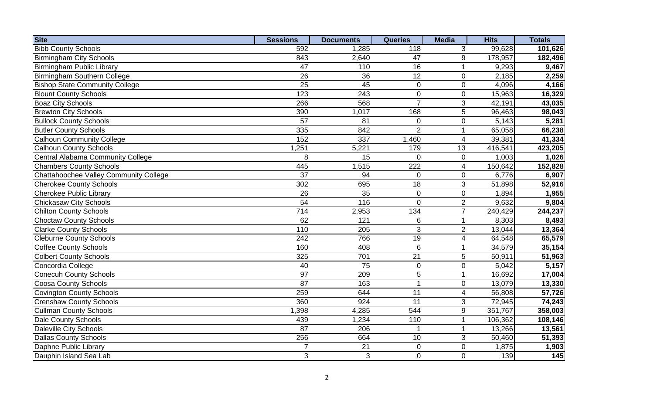| <b>Site</b>                            | <b>Sessions</b> | <b>Documents</b>   | <b>Queries</b>  | <b>Media</b>            | <b>Hits</b> | <b>Totals</b> |
|----------------------------------------|-----------------|--------------------|-----------------|-------------------------|-------------|---------------|
| <b>Bibb County Schools</b>             | 592             | 1,285              | 118             | 3                       | 99,628      | 101,626       |
| <b>Birmingham City Schools</b>         | 843             | 2,640              | 47              | 9                       | 178,957     | 182,496       |
| <b>Birmingham Public Library</b>       | 47              | 110                | $\overline{16}$ | $\mathbf{1}$            | 9,293       | 9,467         |
| <b>Birmingham Southern College</b>     | 26              | 36                 | 12              | $\mathbf 0$             | 2,185       | 2,259         |
| <b>Bishop State Community College</b>  | $\overline{25}$ | $\overline{45}$    | $\overline{0}$  | $\mathbf 0$             | 4,096       | 4,166         |
| <b>Blount County Schools</b>           | 123             | 243                | $\mathbf 0$     | $\mathbf 0$             | 15,963      | 16,329        |
| <b>Boaz City Schools</b>               | 266             | 568                | $\overline{7}$  | 3                       | 42,191      | 43,035        |
| <b>Brewton City Schools</b>            | 390             | 1,017              | 168             | $\overline{5}$          | 96,463      | 98,043        |
| <b>Bullock County Schools</b>          | $\overline{57}$ | $\overline{81}$    | $\overline{0}$  | $\pmb{0}$               | 5,143       | 5,281         |
| <b>Butler County Schools</b>           | 335             | 842                | $\overline{2}$  | $\mathbf{1}$            | 65,058      | 66,238        |
| <b>Calhoun Community College</b>       | 152             | 337                | 1,460           | $\overline{4}$          | 39,381      | 41,334        |
| <b>Calhoun County Schools</b>          | 1,251           | $\overline{5,221}$ | 179             | 13                      | 416,541     | 423,205       |
| Central Alabama Community College      | 8               | 15                 | $\overline{0}$  | $\pmb{0}$               | 1,003       | 1,026         |
| <b>Chambers County Schools</b>         | 445             | 1,515              | 222             | $\overline{4}$          | 150,642     | 152,828       |
| Chattahoochee Valley Community College | $\overline{37}$ | 94                 | $\mathbf 0$     | $\pmb{0}$               | 6,776       | 6,907         |
| <b>Cherokee County Schools</b>         | 302             | 695                | $\overline{18}$ | 3                       | 51,898      | 52,916        |
| <b>Cherokee Public Library</b>         | 26              | $\overline{35}$    | $\mathbf 0$     | $\pmb{0}$               | 1,894       | 1,955         |
| <b>Chickasaw City Schools</b>          | 54              | 116                | $\overline{0}$  | $\overline{2}$          | 9,632       | 9,804         |
| <b>Chilton County Schools</b>          | 714             | 2,953              | 134             | $\overline{7}$          | 240,429     | 244,237       |
| Choctaw County Schools                 | 62              | 121                | 6               | $\mathbf{1}$            | 8,303       | 8,493         |
| <b>Clarke County Schools</b>           | 110             | 205                | 3               | $\overline{2}$          | 13,044      | 13,364        |
| <b>Cleburne County Schools</b>         | 242             | 766                | 19              | $\overline{\mathbf{4}}$ | 64,548      | 65,579        |
| <b>Coffee County Schools</b>           | 160             | 408                | 6               | $\mathbf{1}$            | 34,579      | 35,154        |
| <b>Colbert County Schools</b>          | 325             | 701                | $\overline{21}$ | 5                       | 50,911      | 51,963        |
| Concordia College                      | 40              | $\overline{75}$    | $\pmb{0}$       | $\pmb{0}$               | 5,042       | 5,157         |
| <b>Conecuh County Schools</b>          | $\overline{97}$ | 209                | $\overline{5}$  | $\overline{1}$          | 16,692      | 17,004        |
| <b>Coosa County Schools</b>            | 87              | 163                | 1               | $\pmb{0}$               | 13,079      | 13,330        |
| <b>Covington County Schools</b>        | 259             | 644                | 11              | $\overline{\mathbf{4}}$ | 56,808      | 57,726        |
| <b>Crenshaw County Schools</b>         | 360             | 924                | $\overline{11}$ | 3                       | 72,945      | 74,243        |
| <b>Cullman County Schools</b>          | 1,398           | 4,285              | 544             | $\boldsymbol{9}$        | 351,767     | 358,003       |
| <b>Dale County Schools</b>             | 439             | 1,234              | 110             | $\mathbf{1}$            | 106,362     | 108,146       |
| Daleville City Schools                 | 87              | 206                | 1               | $\mathbf{1}$            | 13,266      | 13,561        |
| <b>Dallas County Schools</b>           | 256             | 664                | 10              | $\mathfrak{S}$          | 50,460      | 51,393        |
| Daphne Public Library                  | $\overline{7}$  | 21                 | 0               | $\mathbf 0$             | 1,875       | 1,903         |
| Dauphin Island Sea Lab                 | 3               | 3                  | 0               | $\overline{0}$          | 139         | 145           |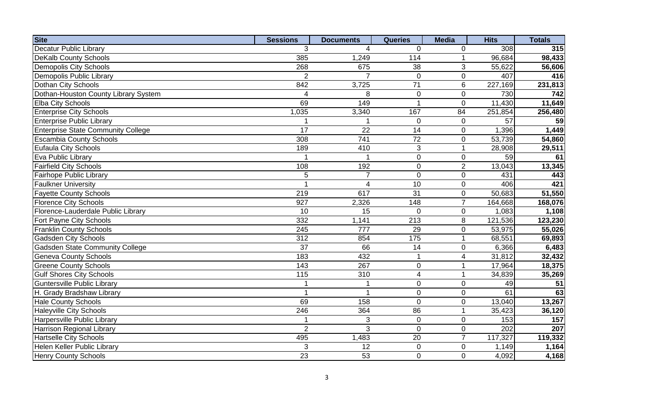| <b>Site</b>                               | <b>Sessions</b> | <b>Documents</b> | <b>Queries</b>  | <b>Media</b>     | <b>Hits</b> | <b>Totals</b> |
|-------------------------------------------|-----------------|------------------|-----------------|------------------|-------------|---------------|
| <b>Decatur Public Library</b>             | 3               | 4                | $\mathbf 0$     | 0                | 308         | 315           |
| <b>DeKalb County Schools</b>              | 385             | 1,249            | 114             | $\mathbf{1}$     | 96,684      | 98,433        |
| <b>Demopolis City Schools</b>             | 268             | 675              | 38              | 3                | 55,622      | 56,606        |
| Demopolis Public Library                  | $\overline{2}$  | 7                | 0               | $\mathbf 0$      | 407         | 416           |
| Dothan City Schools                       | 842             | 3,725            | $\overline{71}$ | $6\phantom{1}$   | 227,169     | 231,813       |
| Dothan-Houston County Library System      | $\overline{4}$  | 8                | 0               | $\mathbf 0$      | 730         | 742           |
| <b>Elba City Schools</b>                  | 69              | 149              |                 | $\mathbf 0$      | 11,430      | 11,649        |
| <b>Enterprise City Schools</b>            | 1,035           | 3,340            | 167             | $\overline{84}$  | 251,854     | 256,480       |
| <b>Enterprise Public Library</b>          |                 |                  | $\overline{0}$  | $\mathbf 0$      | 57          | 59            |
| <b>Enterprise State Community College</b> | $\overline{17}$ | $\overline{22}$  | $\overline{14}$ | $\boldsymbol{0}$ | 1,396       | 1,449         |
| <b>Escambia County Schools</b>            | 308             | 741              | 72              | 0                | 53,739      | 54,860        |
| <b>Eufaula City Schools</b>               | 189             | 410              | $\overline{3}$  | $\overline{1}$   | 28,908      | 29,511        |
| Eva Public Library                        |                 |                  | $\mathbf 0$     | $\boldsymbol{0}$ | 59          | 61            |
| <b>Fairfield City Schools</b>             | 108             | 192              | $\mathbf 0$     | $\overline{2}$   | 13,043      | 13,345        |
| <b>Fairhope Public Library</b>            | 5               | $\overline{7}$   | $\overline{0}$  | $\pmb{0}$        | 431         | 443           |
| <b>Faulkner University</b>                | 1               | 4                | $\overline{10}$ | $\boldsymbol{0}$ | 406         | 421           |
| <b>Fayette County Schools</b>             | 219             | 617              | $\overline{31}$ | $\boldsymbol{0}$ | 50,683      | 51,550        |
| <b>Florence City Schools</b>              | 927             | 2,326            | 148             | $\overline{7}$   | 164,668     | 168,076       |
| Florence-Lauderdale Public Library        | 10              | 15               | $\overline{0}$  | $\mathbf 0$      | 1,083       | 1,108         |
| <b>Fort Payne City Schools</b>            | 332             | 1,141            | 213             | 8                | 121,536     | 123,230       |
| <b>Franklin County Schools</b>            | 245             | 777              | 29              | $\boldsymbol{0}$ | 53,975      | 55,026        |
| <b>Gadsden City Schools</b>               | 312             | 854              | 175             | $\mathbf{1}$     | 68,551      | 69,893        |
| <b>Gadsden State Community College</b>    | $\overline{37}$ | 66               | 14              | $\boldsymbol{0}$ | 6,366       | 6,483         |
| <b>Geneva County Schools</b>              | 183             | 432              | $\mathbf{1}$    | $\overline{4}$   | 31,812      | 32,432        |
| <b>Greene County Schools</b>              | 143             | 267              | 0               | $\mathbf{1}$     | 17,964      | 18,375        |
| <b>Gulf Shores City Schools</b>           | 115             | 310              | $\overline{4}$  | $\mathbf{1}$     | 34,839      | 35,269        |
| <b>Guntersville Public Library</b>        | 1               |                  | $\mathbf 0$     | $\boldsymbol{0}$ | 49          | 51            |
| H. Grady Bradshaw Library                 | 1               |                  | 0               | 0                | 61          | 63            |
| <b>Hale County Schools</b>                | 69              | 158              | $\overline{0}$  | $\boldsymbol{0}$ | 13,040      | 13,267        |
| <b>Haleyville City Schools</b>            | 246             | 364              | 86              | $\mathbf{1}$     | 35,423      | 36,120        |
| Harpersville Public Library               | 1               | 3                | $\overline{0}$  | $\overline{0}$   | 153         | 157           |
| Harrison Regional Library                 | $\overline{2}$  | 3                | $\overline{0}$  | $\mathbf 0$      | 202         | 207           |
| <b>Hartselle City Schools</b>             | 495             | 1,483            | 20              | $\overline{7}$   | 117,327     | 119,332       |
| <b>Helen Keller Public Library</b>        | 3               | 12               | $\overline{0}$  | $\mathbf 0$      | 1,149       | 1,164         |
| <b>Henry County Schools</b>               | 23              | 53               | $\overline{0}$  | $\overline{0}$   | 4,092       | 4,168         |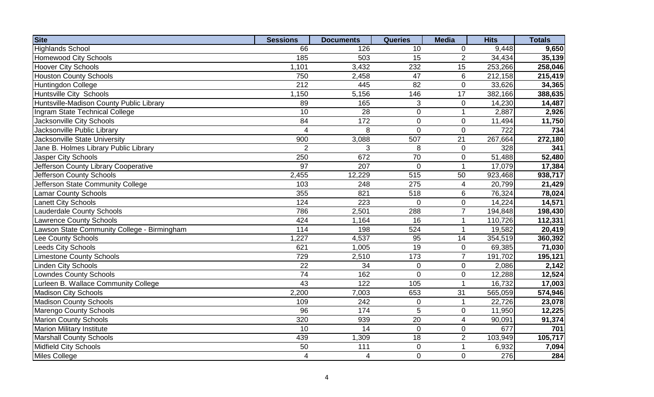| <b>Site</b>                                 | <b>Sessions</b>         | <b>Documents</b>        | <b>Queries</b>   | <b>Media</b>        | <b>Hits</b>      | <b>Totals</b> |
|---------------------------------------------|-------------------------|-------------------------|------------------|---------------------|------------------|---------------|
| <b>Highlands School</b>                     | 66                      | 126                     | 10               | $\mathbf 0$         | 9,448            | 9,650         |
| <b>Homewood City Schools</b>                | 185                     | 503                     | 15               | $\overline{2}$      | 34,434           | 35,139        |
| <b>Hoover City Schools</b>                  | 1,101                   | 3,432                   | 232              | 15                  | 253,266          | 258,046       |
| <b>Houston County Schools</b>               | 750                     | 2,458                   | 47               | 6                   | 212,158          | 215,419       |
| Huntingdon College                          | 212                     | 445                     | 82               | $\mathbf 0$         | 33,626           | 34,365        |
| Huntsville City Schools                     | 1,150                   | 5,156                   | 146              | $\overline{17}$     | 382,166          | 388,635       |
| Huntsville-Madison County Public Library    | 89                      | 165                     | 3                | $\pmb{0}$           | 14,230           | 14,487        |
| Ingram State Technical College              | 10                      | 28                      | $\mathbf 0$      | $\mathbf{1}$        | 2,887            | 2,926         |
| <b>Jacksonville City Schools</b>            | $\overline{84}$         | $\frac{1}{172}$         | $\overline{0}$   | $\pmb{0}$           | 11,494           | 11,750        |
| Jacksonville Public Library                 | $\overline{\mathbf{4}}$ | 8                       | $\overline{0}$   | $\mathbf 0$         | $\overline{722}$ | 734           |
| <b>Jacksonville State University</b>        | 900                     | 3,088                   | 507              | 21                  | 267,664          | 272,180       |
| Jane B. Holmes Library Public Library       | $\overline{2}$          | 3                       | 8                | $\mathsf{O}\xspace$ | 328              | 341           |
| Jasper City Schools                         | 250                     | 672                     | 70               | $\mathbf 0$         | 51,488           | 52,480        |
| Jefferson County Library Cooperative        | $\overline{97}$         | 207                     | 0                | $\mathbf{1}$        | 17,079           | 17,384        |
| Jefferson County Schools                    | 2,455                   | 12,229                  | $\overline{515}$ | 50                  | 923,468          | 938,717       |
| Jefferson State Community College           | 103                     | 248                     | 275              | $\overline{4}$      | 20,799           | 21,429        |
| <b>Lamar County Schools</b>                 | 355                     | 821                     | 518              | 6                   | 76,324           | 78,024        |
| <b>Lanett City Schools</b>                  | 124                     | 223                     | $\overline{0}$   | $\pmb{0}$           | 14,224           | 14,571        |
| <b>Lauderdale County Schools</b>            | 786                     | 2,501                   | 288              | $\overline{7}$      | 194,848          | 198,430       |
| <b>Lawrence County Schools</b>              | 424                     | 1,164                   | 16               | $\mathbf{1}$        | 110,726          | 112,331       |
| Lawson State Community College - Birmingham | 114                     | 198                     | 524              | 1                   | 19,582           | 20,419        |
| Lee County Schools                          | 1,227                   | 4,537                   | $\overline{95}$  | 14                  | 354,519          | 360,392       |
| <b>Leeds City Schools</b>                   | 621                     | 1,005                   | $\overline{19}$  | $\mathbf 0$         | 69,385           | 71,030        |
| <b>Limestone County Schools</b>             | 729                     | 2,510                   | 173              | $\overline{7}$      | 191,702          | 195,121       |
| <b>Linden City Schools</b>                  | 22                      | 34                      | $\mathsf 0$      | $\mathbf 0$         | 2,086            | 2,142         |
| <b>Lowndes County Schools</b>               | $\overline{74}$         | 162                     | $\overline{0}$   | $\mathsf{O}\xspace$ | 12,288           | 12,524        |
| Lurleen B. Wallace Community College        | 43                      | 122                     | 105              | $\mathbf{1}$        | 16,732           | 17,003        |
| <b>Madison City Schools</b>                 | 2,200                   | 7,003                   | 653              | 31                  | 565,059          | 574,946       |
| <b>Madison County Schools</b>               | 109                     | 242                     | $\mathbf 0$      | $\mathbf{1}$        | 22,726           | 23,078        |
| <b>Marengo County Schools</b>               | 96                      | 174                     | 5                | $\mathbf 0$         | 11,950           | 12,225        |
| <b>Marion County Schools</b>                | 320                     | 939                     | 20               | $\overline{4}$      | 90,091           | 91,374        |
| <b>Marion Military Institute</b>            | 10                      | 14                      | $\overline{0}$   | $\mathbf 0$         | 677              | 701           |
| <b>Marshall County Schools</b>              | 439                     | 1,309                   | 18               | $\overline{2}$      | 103,949          | 105,717       |
| Midfield City Schools                       | 50                      | 111                     | 0                | $\mathbf{1}$        | 6,932            | 7,094         |
| Miles College                               | 4                       | $\overline{\mathbf{4}}$ | 0                | $\overline{0}$      | 276              | 284           |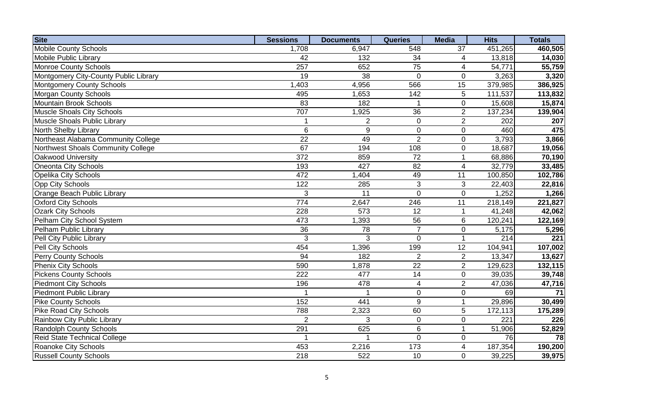| <b>Site</b>                           | <b>Sessions</b>  | <b>Documents</b> | <b>Queries</b>          | <b>Media</b>    | <b>Hits</b>          | <b>Totals</b> |
|---------------------------------------|------------------|------------------|-------------------------|-----------------|----------------------|---------------|
| <b>Mobile County Schools</b>          | 1,708            | 6,947            | 548                     | 37              | 451,265              | 460,505       |
| <b>Mobile Public Library</b>          | 42               | 132              | 34                      | 4               | 13,818               | 14,030        |
| <b>Monroe County Schools</b>          | 257              | 652              | $\overline{75}$         | 4               | 54,771               | 55,759        |
| Montgomery City-County Public Library | $\overline{19}$  | 38               | $\overline{0}$          | $\mathbf 0$     | 3,263                | 3,320         |
| Montgomery County Schools             | 1,403            | 4,956            | 566                     | 15              | 379,985              | 386,925       |
| Morgan County Schools                 | 495              | 1,653            | 142                     | 5               | 111,537              | 113,832       |
| Mountain Brook Schools                | 83               | 182              |                         | $\pmb{0}$       | 15,608               | 15,874        |
| <b>Muscle Shoals City Schools</b>     | 707              | 1,925            | $\overline{36}$         | $\overline{2}$  | 137,234              | 139,904       |
| <b>Muscle Shoals Public Library</b>   | 1                | $\overline{2}$   | $\overline{0}$          | $\overline{2}$  | 202                  | 207           |
| North Shelby Library                  | 6                | $\overline{9}$   | $\overline{0}$          | $\mathbf 0$     | 460                  | 475           |
| Northeast Alabama Community College   | 22               | 49               | $\overline{2}$          | $\mathbf 0$     | 3,793                | 3,866         |
| Northwest Shoals Community College    | 67               | 194              | 108                     | $\mathbf 0$     | 18,687               | 19,056        |
| Oakwood University                    | 372              | 859              | $\overline{72}$         | $\mathbf{1}$    | 68,886               | 70,190        |
| Oneonta City Schools                  | 193              | 427              | 82                      | $\overline{4}$  | 32,779               | 33,485        |
| <b>Opelika City Schools</b>           | 472              | ,404             | 49                      | 11              | 100,850              | 102,786       |
| <b>Opp City Schools</b>               | 122              | 285              | 3                       | 3               | 22,403               | 22,816        |
| Orange Beach Public Library           | $\overline{3}$   | 11               | $\overline{0}$          | $\pmb{0}$       | 1,252                | 1,266         |
| <b>Oxford City Schools</b>            | 774              | 2,647            | 246                     | $\overline{11}$ | $\overline{218,149}$ | 221,827       |
| <b>Ozark City Schools</b>             | 228              | 573              | 12                      | $\mathbf{1}$    | 41,248               | 42,062        |
| Pelham City School System             | 473              | ,393             | 56                      | 6               | 120,241              | 122,169       |
| Pelham Public Library                 | 36               | 78               | $\overline{7}$          | $\pmb{0}$       | 5,175                | 5,296         |
| Pell City Public Library              | 3                | 3                | $\overline{0}$          | $\mathbf{1}$    | 214                  | 221           |
| <b>Pell City Schools</b>              | 454              | 1,396            | 199                     | 12              | 104,941              | 107,002       |
| Perry County Schools                  | 94               | 182              | $\overline{2}$          | $\overline{2}$  | 13,347               | 13,627        |
| <b>Phenix City Schools</b>            | 590              | 1,878            | $\overline{22}$         | $\overline{2}$  | 129,623              | 132,115       |
| <b>Pickens County Schools</b>         | $\overline{222}$ | 477              | 14                      | $\mathbf 0$     | 39,035               | 39,748        |
| <b>Piedmont City Schools</b>          | 196              | 478              | $\overline{\mathbf{4}}$ | $\overline{2}$  | 47,036               | 47,716        |
| <b>Piedmont Public Library</b>        | 1                |                  | $\pmb{0}$               | $\pmb{0}$       | 69                   | 71            |
| <b>Pike County Schools</b>            | 152              | 441              | $\overline{9}$          | $\mathbf{1}$    | 29,896               | 30,499        |
| <b>Pike Road City Schools</b>         | 788              | 2,323            | 60                      | 5               | 172,113              | 175,289       |
| Rainbow City Public Library           | $\overline{2}$   | 3                | $\mathbf 0$             | $\mathbf 0$     | 221                  | 226           |
| <b>Randolph County Schools</b>        | 291              | 625              | 6                       | $\mathbf{1}$    | $\overline{51,906}$  | 52,829        |
| Reid State Technical College          | 1                |                  | $\overline{0}$          | $\mathbf 0$     | 76                   | 78            |
| Roanoke City Schools                  | 453              | 2,216            | 173                     | 4               | 187,354              | 190,200       |
| <b>Russell County Schools</b>         | 218              | 522              | 10                      | $\overline{0}$  | 39,225               | 39,975        |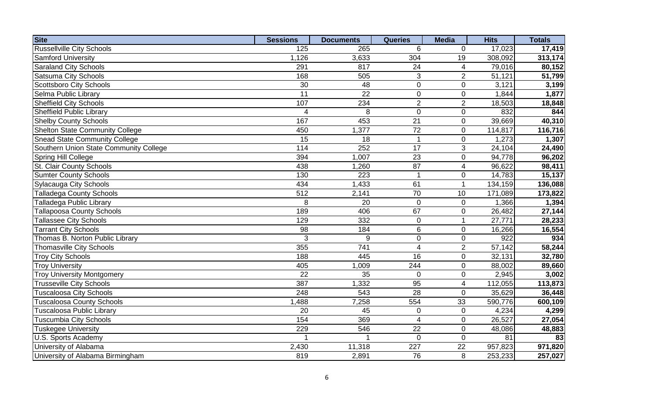| <b>Site</b>                            | <b>Sessions</b>         | <b>Documents</b> | <b>Queries</b>          | <b>Media</b>        | <b>Hits</b> | <b>Totals</b> |
|----------------------------------------|-------------------------|------------------|-------------------------|---------------------|-------------|---------------|
| <b>Russellville City Schools</b>       | 125                     | 265              | 6                       | $\mathbf 0$         | 17,023      | 17,419        |
| <b>Samford University</b>              | 1,126                   | 3,633            | 304                     | 19                  | 308,092     | 313,174       |
| <b>Saraland City Schools</b>           | 291                     | 817              | 24                      | 4                   | 79,016      | 80,152        |
| <b>Satsuma City Schools</b>            | 168                     | 505              | 3                       | $\overline{2}$      | 51,121      | 51,799        |
| Scottsboro City Schools                | 30                      | 48               | $\overline{0}$          | $\mathbf 0$         | 3,121       | 3,199         |
| Selma Public Library                   | $\overline{11}$         | 22               | $\mathsf 0$             | $\mathbf 0$         | 1,844       | 1,877         |
| <b>Sheffield City Schools</b>          | 107                     | 234              | $\overline{2}$          | $\overline{2}$      | 18,503      | 18,848        |
| <b>Sheffield Public Library</b>        | $\overline{\mathbf{4}}$ | 8                | $\overline{0}$          | $\pmb{0}$           | 832         | 844           |
| <b>Shelby County Schools</b>           | 167                     | 453              | $\overline{21}$         | $\pmb{0}$           | 39,669      | 40,310        |
| <b>Shelton State Community College</b> | 450                     | 1,377            | $\overline{72}$         | $\pmb{0}$           | 114,817     | 116,716       |
| <b>Snead State Community College</b>   | 15                      | 18               |                         | $\mathbf 0$         | 1,273       | 1,307         |
| Southern Union State Community College | 114                     | 252              | 17                      | 3                   | 24,104      | 24,490        |
| Spring Hill College                    | 394                     | 1,007            | 23                      | $\mathbf 0$         | 94,778      | 96,202        |
| St. Clair County Schools               | 438                     | 1,260            | 87                      | 4                   | 96,622      | 98,411        |
| <b>Sumter County Schools</b>           | 130                     | 223              |                         | $\pmb{0}$           | 14,783      | 15,137        |
| <b>Sylacauga City Schools</b>          | 434                     | 1,433            | 61                      | $\mathbf{1}$        | 134,159     | 136,088       |
| <b>Talladega County Schools</b>        | 512                     | 2,141            | $\overline{70}$         | 10                  | 171,089     | 173,822       |
| Talladega Public Library               | 8                       | 20               | $\overline{0}$          | $\mathbf 0$         | 1,366       | 1,394         |
| <b>Tallapoosa County Schools</b>       | 189                     | 406              | 67                      | $\pmb{0}$           | 26,482      | 27,144        |
| <b>Tallassee City Schools</b>          | 129                     | 332              | $\mathsf 0$             | $\mathbf{1}$        | 27,771      | 28,233        |
| <b>Tarrant City Schools</b>            | 98                      | 184              | 6                       | $\pmb{0}$           | 16,266      | 16,554        |
| Thomas B. Norton Public Library        | 3                       | 9                | $\mathbf 0$             | $\pmb{0}$           | 922         | 934           |
| <b>Thomasville City Schools</b>        | 355                     | 741              | $\overline{\mathbf{4}}$ | $\overline{2}$      | 57,142      | 58,244        |
| <b>Troy City Schools</b>               | 188                     | 445              | 16                      | $\pmb{0}$           | 32,131      | 32,780        |
| <b>Troy University</b>                 | 405                     | 1,009            | 244                     | $\pmb{0}$           | 88,002      | 89,660        |
| <b>Troy University Montgomery</b>      | $\overline{22}$         | $\overline{35}$  | $\overline{0}$          | $\mathsf{O}\xspace$ | 2,945       | 3,002         |
| <b>Trusseville City Schools</b>        | 387                     | 1,332            | 95                      | 4                   | 112,055     | 113,873       |
| <b>Tuscaloosa City Schools</b>         | 248                     | 543              | $\overline{28}$         | $\boldsymbol{0}$    | 35,629      | 36,448        |
| Tuscaloosa County Schools              | 1,488                   | 7,258            | 554                     | 33                  | 590,776     | 600,109       |
| Tuscaloosa Public Library              | 20                      | 45               | $\mathbf 0$             | $\mathbf 0$         | 4,234       | 4,299         |
| <b>Tuscumbia City Schools</b>          | 154                     | 369              | $\overline{4}$          | $\mathbf 0$         | 26,527      | 27,054        |
| <b>Tuskegee University</b>             | 229                     | 546              | 22                      | $\mathbf 0$         | 48,086      | 48,883        |
| U.S. Sports Academy                    |                         |                  | $\overline{0}$          | $\mathbf 0$         | 81          | 83            |
| University of Alabama                  | 2,430                   | 11,318           | 227                     | 22                  | 957,823     | 971,820       |
| University of Alabama Birmingham       | 819                     | 2,891            | 76                      | 8                   | 253,233     | 257,027       |